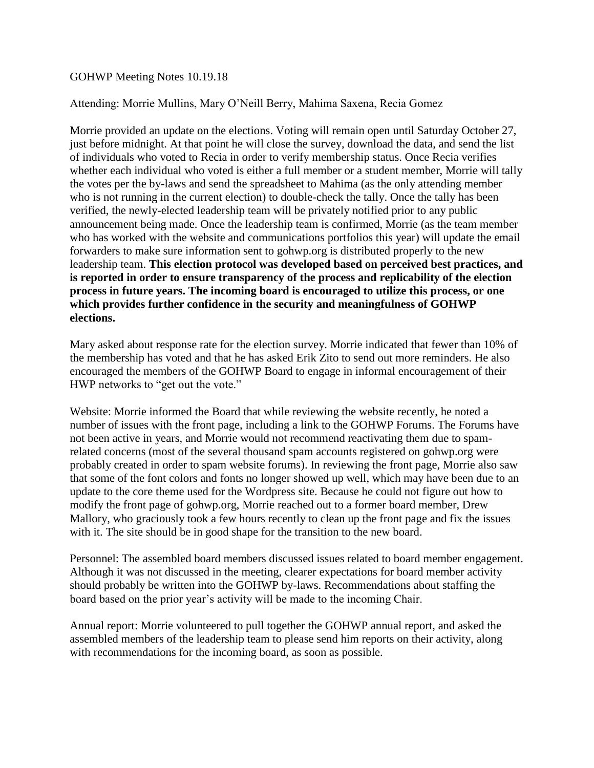## GOHWP Meeting Notes 10.19.18

## Attending: Morrie Mullins, Mary O'Neill Berry, Mahima Saxena, Recia Gomez

Morrie provided an update on the elections. Voting will remain open until Saturday October 27, just before midnight. At that point he will close the survey, download the data, and send the list of individuals who voted to Recia in order to verify membership status. Once Recia verifies whether each individual who voted is either a full member or a student member, Morrie will tally the votes per the by-laws and send the spreadsheet to Mahima (as the only attending member who is not running in the current election) to double-check the tally. Once the tally has been verified, the newly-elected leadership team will be privately notified prior to any public announcement being made. Once the leadership team is confirmed, Morrie (as the team member who has worked with the website and communications portfolios this year) will update the email forwarders to make sure information sent to gohwp.org is distributed properly to the new leadership team. **This election protocol was developed based on perceived best practices, and is reported in order to ensure transparency of the process and replicability of the election process in future years. The incoming board is encouraged to utilize this process, or one which provides further confidence in the security and meaningfulness of GOHWP elections.**

Mary asked about response rate for the election survey. Morrie indicated that fewer than 10% of the membership has voted and that he has asked Erik Zito to send out more reminders. He also encouraged the members of the GOHWP Board to engage in informal encouragement of their HWP networks to "get out the vote."

Website: Morrie informed the Board that while reviewing the website recently, he noted a number of issues with the front page, including a link to the GOHWP Forums. The Forums have not been active in years, and Morrie would not recommend reactivating them due to spamrelated concerns (most of the several thousand spam accounts registered on gohwp.org were probably created in order to spam website forums). In reviewing the front page, Morrie also saw that some of the font colors and fonts no longer showed up well, which may have been due to an update to the core theme used for the Wordpress site. Because he could not figure out how to modify the front page of gohwp.org, Morrie reached out to a former board member, Drew Mallory, who graciously took a few hours recently to clean up the front page and fix the issues with it. The site should be in good shape for the transition to the new board.

Personnel: The assembled board members discussed issues related to board member engagement. Although it was not discussed in the meeting, clearer expectations for board member activity should probably be written into the GOHWP by-laws. Recommendations about staffing the board based on the prior year's activity will be made to the incoming Chair.

Annual report: Morrie volunteered to pull together the GOHWP annual report, and asked the assembled members of the leadership team to please send him reports on their activity, along with recommendations for the incoming board, as soon as possible.